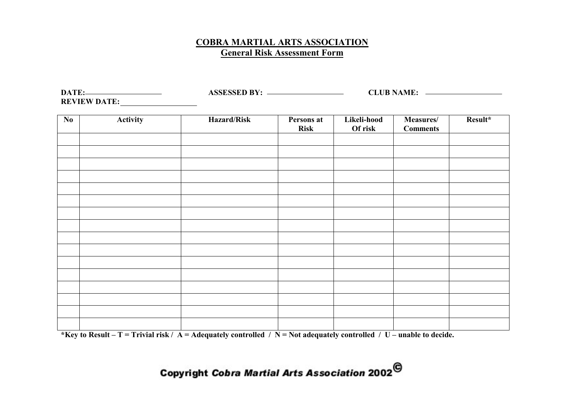#### **COBRA MARTIAL ARTS ASSOCIATION General Risk Assessment Form**

DATE: ASSESSED BY: <u>ASSESSED BY:</u> CLUB NAME: 2000 CLUB NAME: 2000 CLUB NAME: 2000 CLUB NAME: 2000 CLUB NAME: 2000 CLUB NAME: 2000 CLUB NAME: 2000 CLUB NAME: 2000 CLUB NAME: 2000 CLUB NAME: 2000 CLUB NAME: 2000 CLUB NAME: 2 **REVIEW DATE:**

| $\mathbf{N}\mathbf{0}$ | Activity | Hazard/Risk | Persons at<br><b>Risk</b> | Likeli-hood<br>Of risk | Measures/<br><b>Comments</b> | Result* |
|------------------------|----------|-------------|---------------------------|------------------------|------------------------------|---------|
|                        |          |             |                           |                        |                              |         |
|                        |          |             |                           |                        |                              |         |
|                        |          |             |                           |                        |                              |         |
|                        |          |             |                           |                        |                              |         |
|                        |          |             |                           |                        |                              |         |
|                        |          |             |                           |                        |                              |         |
|                        |          |             |                           |                        |                              |         |
|                        |          |             |                           |                        |                              |         |
|                        |          |             |                           |                        |                              |         |
|                        |          |             |                           |                        |                              |         |
|                        |          |             |                           |                        |                              |         |
|                        |          |             |                           |                        |                              |         |

**\*Key to Result – T = Trivial risk / A = Adequately controlled / N = Not adequately controlled / U – unable to decide.**

# Copyright Cobra Martial Arts Association 2002<sup>©</sup>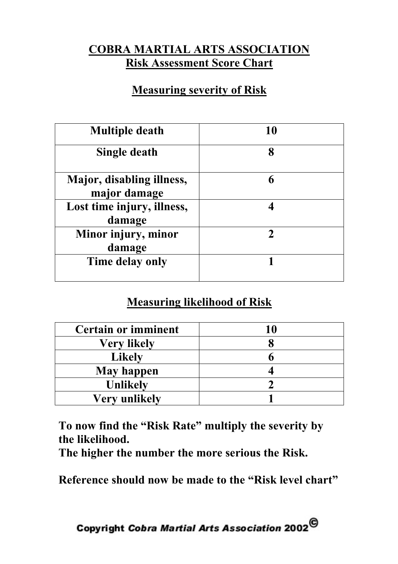### **COBRA MARTIAL ARTS ASSOCIATION Risk Assessment Score Chart**

#### **Measuring severity of Risk**

| <b>Multiple death</b>                     | 10 |  |  |
|-------------------------------------------|----|--|--|
| Single death                              | 8  |  |  |
| Major, disabling illness,<br>major damage | 6  |  |  |
| Lost time injury, illness,<br>damage      |    |  |  |
| Minor injury, minor<br>damage             |    |  |  |
| Time delay only                           |    |  |  |

## **Measuring likelihood of Risk**

| <b>Certain or imminent</b> |  |  |  |
|----------------------------|--|--|--|
| <b>Very likely</b>         |  |  |  |
| <b>Likely</b>              |  |  |  |
| <b>May happen</b>          |  |  |  |
| <b>Unlikely</b>            |  |  |  |
| <b>Very unlikely</b>       |  |  |  |

**To now find the "Risk Rate" multiply the severity by the likelihood.**

**The higher the number the more serious the Risk.**

**Reference should now be made to the "Risk level chart"**

Copyright Cobra Martial Arts Association 2002 $^\copyright$